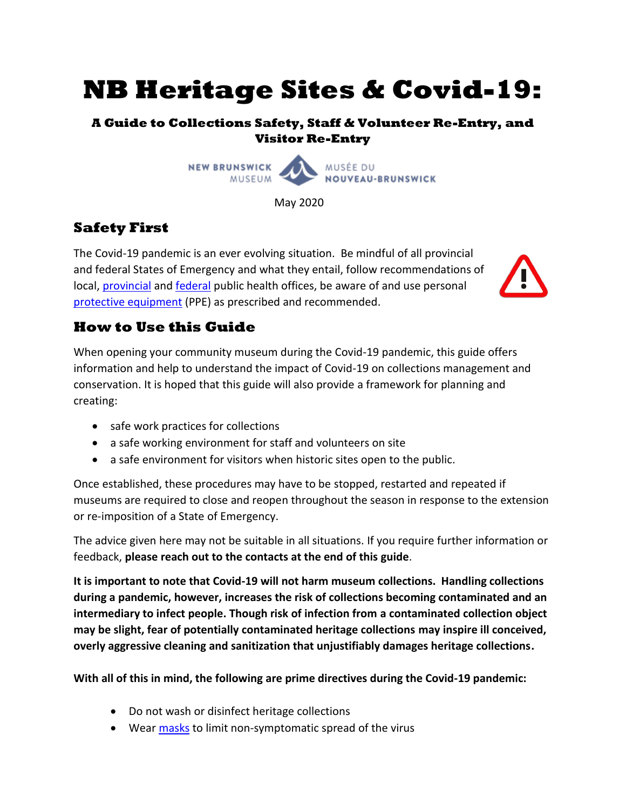# **NB Heritage Sites & Covid-19:**

## **A Guide to Collections Safety, Staff & Volunteer Re-Entry, and Visitor Re-Entry**



May 2020

# **Safety First**

The Covid-19 pandemic is an ever evolving situation. Be mindful of all provincial and federal States of Emergency and what they entail, follow recommendations of local, [provincial](https://www2.gnb.ca/content/gnb/en/departments/ocmoh/cdc/content/respiratory_diseases/coronavirus.html) and [federal](https://www.canada.ca/en/public-health/services/diseases/coronavirus-disease-covid-19.html) public health offices, be aware of and use personal [protective equipment](https://www.canada.ca/en/public-health/services/diseases/2019-novel-coronavirus-infection/prevention-risks/about-non-medical-masks-face-coverings.html) (PPE) as prescribed and recommended.



# **How to Use this Guide**

When opening your community museum during the Covid-19 pandemic, this guide offers information and help to understand the impact of Covid-19 on collections management and conservation. It is hoped that this guide will also provide a framework for planning and creating:

- safe work practices for collections
- a safe working environment for staff and volunteers on site
- a safe environment for visitors when historic sites open to the public.

Once established, these procedures may have to be stopped, restarted and repeated if museums are required to close and reopen throughout the season in response to the extension or re-imposition of a State of Emergency.

The advice given here may not be suitable in all situations. If you require further information or feedback, **please reach out to the contacts at the end of this guide**.

**It is important to note that Covid-19 will not harm museum collections. Handling collections during a pandemic, however, increases the risk of collections becoming contaminated and an intermediary to infect people. Though risk of infection from a contaminated collection object may be slight, fear of potentially contaminated heritage collections may inspire ill conceived, overly aggressive cleaning and sanitization that unjustifiably damages heritage collections.**

**With all of this in mind, the following are prime directives during the Covid-19 pandemic:**

- Do not wash or disinfect heritage collections
- Wear [masks](https://www.canada.ca/en/public-health/services/diseases/2019-novel-coronavirus-infection/prevention-risks/about-non-medical-masks-face-coverings.html) to limit non-symptomatic spread of the virus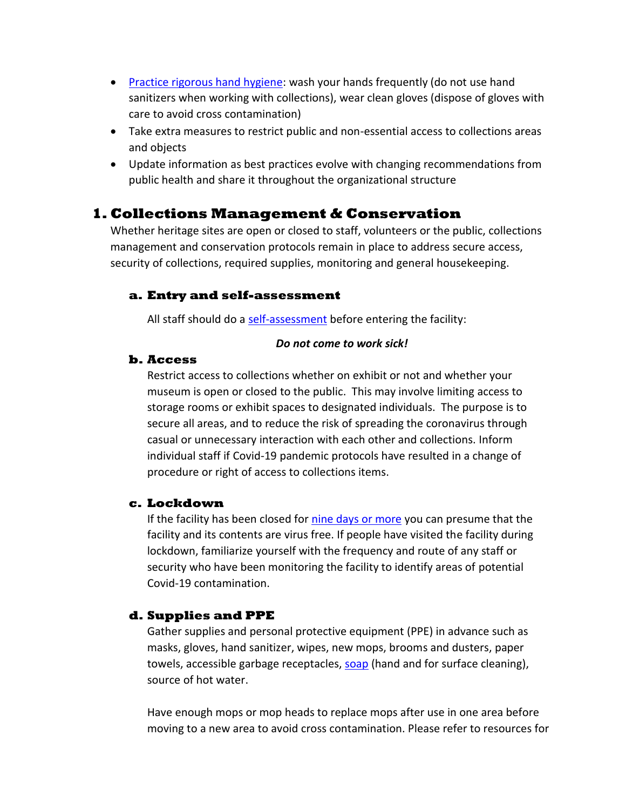- [Practice rigorous hand hygiene:](https://www.who.int/emergencies/diseases/novel-coronavirus-2019/advice-for-public) wash your hands frequently (do not use hand sanitizers when working with collections), wear clean gloves (dispose of gloves with care to avoid cross contamination)
- Take extra measures to restrict public and non-essential access to collections areas and objects
- Update information as best practices evolve with changing recommendations from public health and share it throughout the organizational structure

## **1. Collections Management & Conservation**

Whether heritage sites are open or closed to staff, volunteers or the public, collections management and conservation protocols remain in place to address secure access, security of collections, required supplies, monitoring and general housekeeping.

## **a. Entry and self-assessment**

All staff should do a [self-assessment](https://www2.gnb.ca/content/gnb/en/departments/ocmoh/cdc/content/respiratory_diseases/coronavirus/coronavirusexposure.html#/app/symptom-checker/guides/399/what-to-do) before entering the facility:

#### *Do not come to work sick!*

#### **b. Access**

Restrict access to collections whether on exhibit or not and whether your museum is open or closed to the public. This may involve limiting access to storage rooms or exhibit spaces to designated individuals. The purpose is to secure all areas, and to reduce the risk of spreading the coronavirus through casual or unnecessary interaction with each other and collections. Inform individual staff if Covid-19 pandemic protocols have resulted in a change of procedure or right of access to collections items.

## **c. Lockdown**

If the facility has been closed for [nine days or more](https://www.cac-accr.ca/wp-content/uploads/dlm_uploads/2020/04/cci_covid-19_en_2020-04-17.pdf) you can presume that the facility and its contents are virus free. If people have visited the facility during lockdown, familiarize yourself with the frequency and route of any staff or security who have been monitoring the facility to identify areas of potential Covid-19 contamination.

## **d. Supplies and PPE**

Gather supplies and personal protective equipment (PPE) in advance such as masks, gloves, hand sanitizer, wipes, new mops, brooms and dusters, paper towels, accessible garbage receptacles, [soap](https://www.canada.ca/en/health-canada/services/drugs-health-products/disinfectants/covid-19.html) (hand and for surface cleaning), source of hot water.

Have enough mops or mop heads to replace mops after use in one area before moving to a new area to avoid cross contamination. Please refer to resources for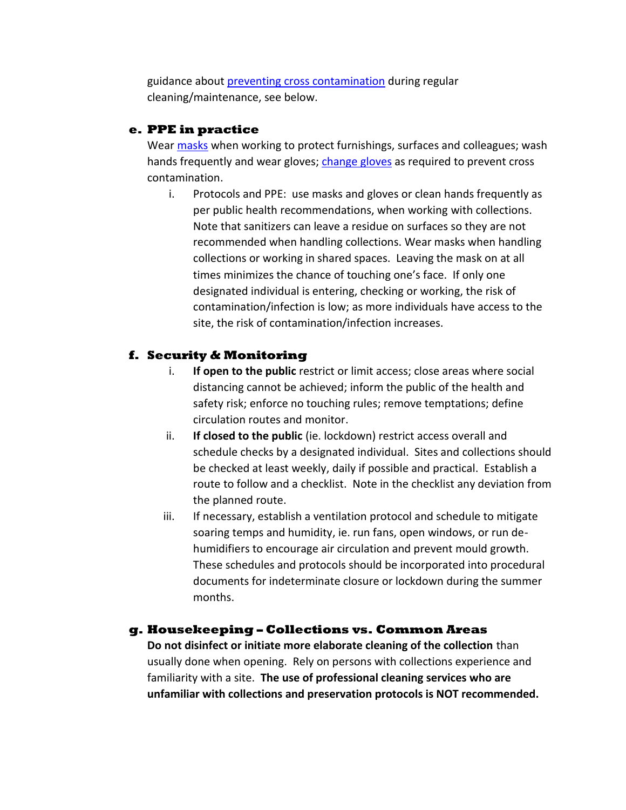guidance about [preventing cross contamination](https://www.ncptt.nps.gov/blog/covid-19-basics-re-entry-to-cultural-sites/) during regular cleaning/maintenance, see below.

## **e. PPE in practice**

Wear [masks](https://www.canada.ca/en/public-health/services/diseases/2019-novel-coronavirus-infection/prevention-risks/about-non-medical-masks-face-coverings.html) when working to protect furnishings, surfaces and colleagues; wash hands frequently and wear gloves; [change gloves](https://www.canada.ca/en/public-health/services/video/covid-19-how-to-take-off-disposable-gloves.html) as required to prevent cross contamination.

i. Protocols and PPE: use masks and gloves or clean hands frequently as per public health recommendations, when working with collections. Note that sanitizers can leave a residue on surfaces so they are not recommended when handling collections. Wear masks when handling collections or working in shared spaces. Leaving the mask on at all times minimizes the chance of touching one's face. If only one designated individual is entering, checking or working, the risk of contamination/infection is low; as more individuals have access to the site, the risk of contamination/infection increases.

## **f. Security & Monitoring**

- i. **If open to the public** restrict or limit access; close areas where social distancing cannot be achieved; inform the public of the health and safety risk; enforce no touching rules; remove temptations; define circulation routes and monitor.
- ii. **If closed to the public** (ie. lockdown) restrict access overall and schedule checks by a designated individual. Sites and collections should be checked at least weekly, daily if possible and practical. Establish a route to follow and a checklist. Note in the checklist any deviation from the planned route.
- iii. If necessary, establish a ventilation protocol and schedule to mitigate soaring temps and humidity, ie. run fans, open windows, or run dehumidifiers to encourage air circulation and prevent mould growth. These schedules and protocols should be incorporated into procedural documents for indeterminate closure or lockdown during the summer months.

## **g. Housekeeping – Collections vs. Common Areas**

**Do not disinfect or initiate more elaborate cleaning of the collection** than usually done when opening. Rely on persons with collections experience and familiarity with a site. **The use of professional cleaning services who are unfamiliar with collections and preservation protocols is NOT recommended.**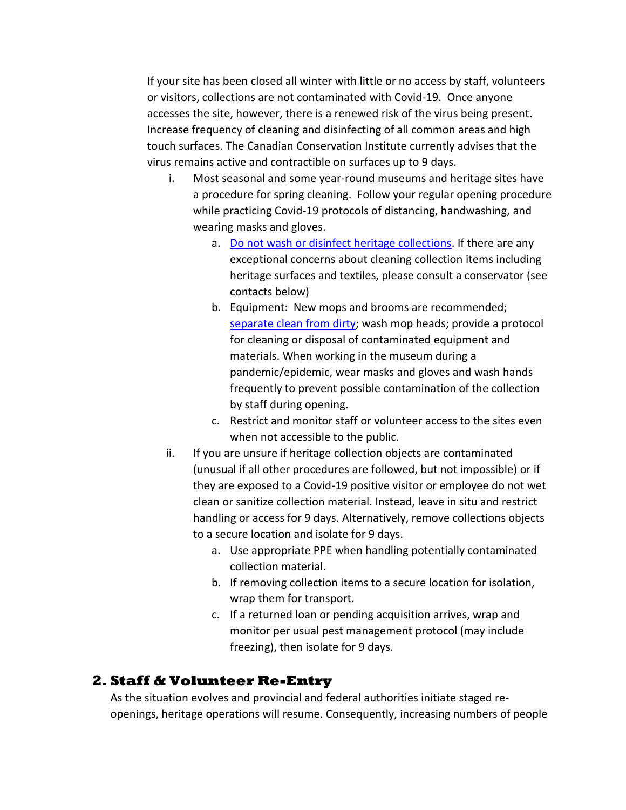If your site has been closed all winter with little or no access by staff, volunteers or visitors, collections are not contaminated with Covid-19. Once anyone accesses the site, however, there is a renewed risk of the virus being present. Increase frequency of cleaning and disinfecting of all common areas and high touch surfaces. The Canadian Conservation Institute currently advises that the virus remains active and contractible on surfaces up to 9 days.

- i. Most seasonal and some year-round museums and heritage sites have a procedure for spring cleaning. Follow your regular opening procedure while practicing Covid-19 protocols of distancing, handwashing, and wearing masks and gloves.
	- a. [Do not wash or disinfect heritage collections.](https://www.cac-accr.ca/wp-content/uploads/dlm_uploads/2020/04/cci_covid-19_en_2020-04-17.pdf) If there are any exceptional concerns about cleaning collection items including heritage surfaces and textiles, please consult a conservator (see contacts below)
	- b. Equipment: New mops and brooms are recommended; [separate clean from dirty;](https://www.ncptt.nps.gov/blog/covid-19-basics-re-entry-to-cultural-sites/) wash mop heads; provide a protocol for cleaning or disposal of contaminated equipment and materials. When working in the museum during a pandemic/epidemic, wear masks and gloves and wash hands frequently to prevent possible contamination of the collection by staff during opening.
	- c. Restrict and monitor staff or volunteer access to the sites even when not accessible to the public.
- ii. If you are unsure if heritage collection objects are contaminated (unusual if all other procedures are followed, but not impossible) or if they are exposed to a Covid-19 positive visitor or employee do not wet clean or sanitize collection material. Instead, leave in situ and restrict handling or access for 9 days. Alternatively, remove collections objects to a secure location and isolate for 9 days.
	- a. Use appropriate PPE when handling potentially contaminated collection material.
	- b. If removing collection items to a secure location for isolation, wrap them for transport.
	- c. If a returned loan or pending acquisition arrives, wrap and monitor per usual pest management protocol (may include freezing), then isolate for 9 days.

# **2. Staff & Volunteer Re-Entry**

As the situation evolves and provincial and federal authorities initiate staged reopenings, heritage operations will resume. Consequently, increasing numbers of people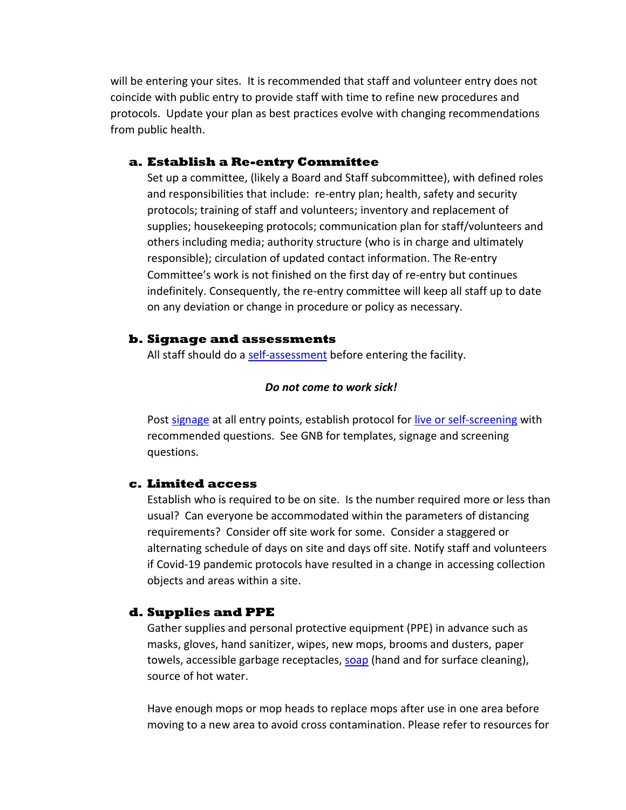will be entering your sites. It is recommended that staff and volunteer entry does not coincide with public entry to provide staff with time to refine new procedures and protocols. Update your plan as best practices evolve with changing recommendations from public health.

#### **a. Establish a Re-entry Committee**

Set up a committee, (likely a Board and Staff subcommittee), with defined roles and responsibilities that include: re-entry plan; health, safety and security protocols; training of staff and volunteers; inventory and replacement of supplies; housekeeping protocols; communication plan for staff/volunteers and others including media; authority structure (who is in charge and ultimately responsible); circulation of updated contact information. The Re-entry Committee's work is not finished on the first day of re-entry but continues indefinitely. Consequently, the re-entry committee will keep all staff up to date on any deviation or change in procedure or policy as necessary.

#### **b. Signage and assessments**

All staff should do a [self-assessment](https://www2.gnb.ca/content/gnb/en/departments/ocmoh/cdc/content/respiratory_diseases/coronavirus/coronavirusexposure.html#/app/symptom-checker/guides/399/what-to-do) before entering the facility.

#### *Do not come to work sick!*

Post [signage](https://www2.gnb.ca/content/dam/gnb/Departments/h-s/pdf/en/CDC/PosterCL.pdf) at all entry points, establish protocol for [live or self-screening](https://www2.gnb.ca/content/dam/gnb/Departments/h-s/pdf/ScreeningEF.pdf) with recommended questions. See GNB for templates, signage and screening questions.

## **c. Limited access**

Establish who is required to be on site. Is the number required more or less than usual? Can everyone be accommodated within the parameters of distancing requirements? Consider off site work for some. Consider a staggered or alternating schedule of days on site and days off site. Notify staff and volunteers if Covid-19 pandemic protocols have resulted in a change in accessing collection objects and areas within a site.

## **d. Supplies and PPE**

Gather supplies and personal protective equipment (PPE) in advance such as masks, gloves, hand sanitizer, wipes, new mops, brooms and dusters, paper towels, accessible garbage receptacles, [soap](https://www.canada.ca/en/health-canada/services/drugs-health-products/disinfectants/covid-19.html) (hand and for surface cleaning), source of hot water.

Have enough mops or mop heads to replace mops after use in one area before moving to a new area to avoid cross contamination. Please refer to resources for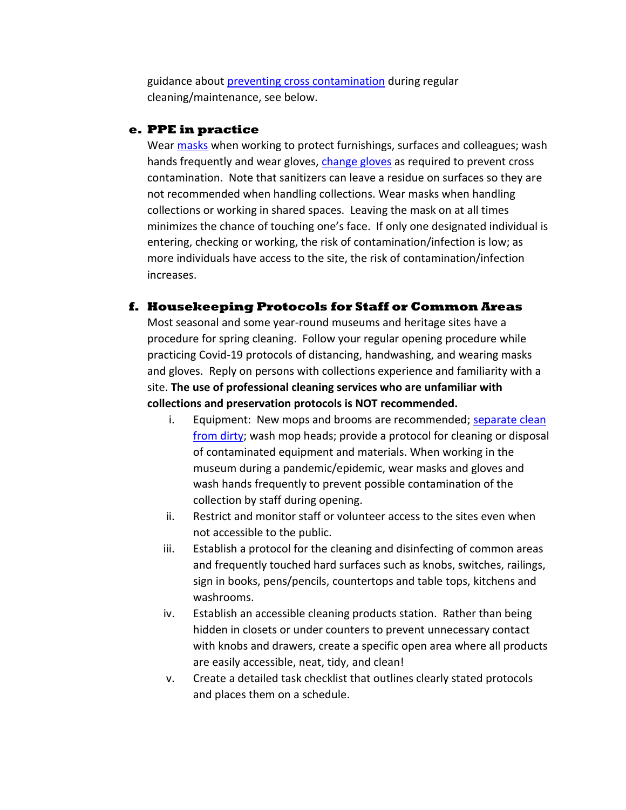guidance about [preventing cross contamination](https://www.ncptt.nps.gov/blog/covid-19-basics-re-entry-to-cultural-sites/) during regular cleaning/maintenance, see below.

## **e. PPE in practice**

Wear [masks](https://www.canada.ca/en/public-health/services/diseases/2019-novel-coronavirus-infection/prevention-risks/about-non-medical-masks-face-coverings.html) when working to protect furnishings, surfaces and colleagues; wash hands frequently and wear gloves, [change gloves](https://www.canada.ca/en/public-health/services/video/covid-19-how-to-take-off-disposable-gloves.html) as required to prevent cross contamination. Note that sanitizers can leave a residue on surfaces so they are not recommended when handling collections. Wear masks when handling collections or working in shared spaces. Leaving the mask on at all times minimizes the chance of touching one's face. If only one designated individual is entering, checking or working, the risk of contamination/infection is low; as more individuals have access to the site, the risk of contamination/infection increases.

## **f. Housekeeping Protocols for Staff or Common Areas**

Most seasonal and some year-round museums and heritage sites have a procedure for spring cleaning. Follow your regular opening procedure while practicing Covid-19 protocols of distancing, handwashing, and wearing masks and gloves. Reply on persons with collections experience and familiarity with a site. **The use of professional cleaning services who are unfamiliar with collections and preservation protocols is NOT recommended.** 

- i. Equipment: New mops and brooms are recommended; separate clean [from dirty;](https://www.ncptt.nps.gov/blog/covid-19-basics-re-entry-to-cultural-sites/) wash mop heads; provide a protocol for cleaning or disposal of contaminated equipment and materials. When working in the museum during a pandemic/epidemic, wear masks and gloves and wash hands frequently to prevent possible contamination of the collection by staff during opening.
- ii. Restrict and monitor staff or volunteer access to the sites even when not accessible to the public.
- iii. Establish a protocol for the cleaning and disinfecting of common areas and frequently touched hard surfaces such as knobs, switches, railings, sign in books, pens/pencils, countertops and table tops, kitchens and washrooms.
- iv. Establish an accessible cleaning products station. Rather than being hidden in closets or under counters to prevent unnecessary contact with knobs and drawers, create a specific open area where all products are easily accessible, neat, tidy, and clean!
- v. Create a detailed task checklist that outlines clearly stated protocols and places them on a schedule.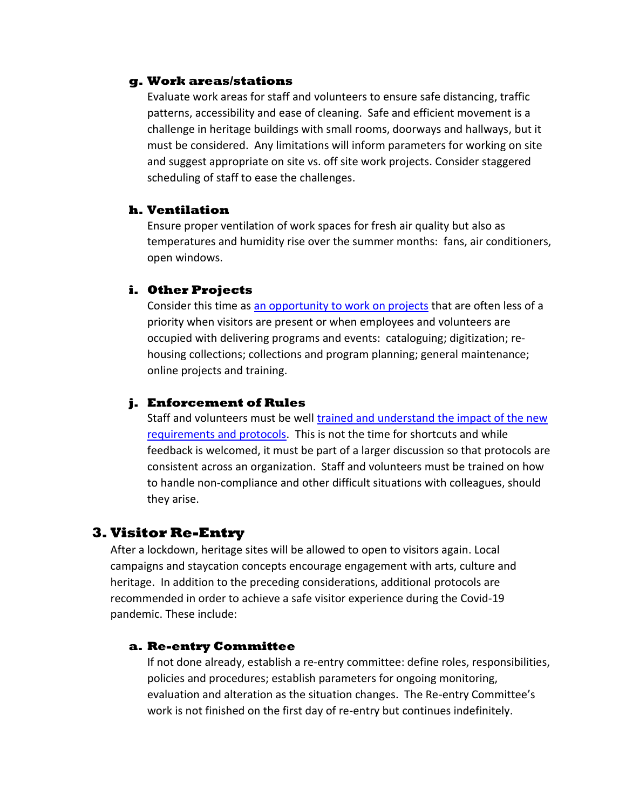## **g. Work areas/stations**

Evaluate work areas for staff and volunteers to ensure safe distancing, traffic patterns, accessibility and ease of cleaning. Safe and efficient movement is a challenge in heritage buildings with small rooms, doorways and hallways, but it must be considered. Any limitations will inform parameters for working on site and suggest appropriate on site vs. off site work projects. Consider staggered scheduling of staff to ease the challenges.

## **h. Ventilation**

Ensure proper ventilation of work spaces for fresh air quality but also as temperatures and humidity rise over the summer months: fans, air conditioners, open windows.

#### **i. Other Projects**

Consider this time as [an opportunity to work on projects](https://ansm.ns.ca/Documents/Supporting%20Seasonal%20Staff%20During%20COVID-19.pdf?fbclid=IwAR3a3MYTahJUlCnarQSfq3Ue7G4jEGSfd5nUFWyF7g_8kMcRw29nkob518k) that are often less of a priority when visitors are present or when employees and volunteers are occupied with delivering programs and events: cataloguing; digitization; rehousing collections; collections and program planning; general maintenance; online projects and training.

## **j. Enforcement of Rules**

Staff and volunteers must be well [trained and understand the impact of the new](https://www.worksafenb.ca/safety-topics/covid-19/covid-19-what-workers-and-employers-need-to-know/)  [requirements and protocols.](https://www.worksafenb.ca/safety-topics/covid-19/covid-19-what-workers-and-employers-need-to-know/) This is not the time for shortcuts and while feedback is welcomed, it must be part of a larger discussion so that protocols are consistent across an organization. Staff and volunteers must be trained on how to handle non-compliance and other difficult situations with colleagues, should they arise.

## **3. Visitor Re-Entry**

After a lockdown, heritage sites will be allowed to open to visitors again. Local campaigns and staycation concepts encourage engagement with arts, culture and heritage. In addition to the preceding considerations, additional protocols are recommended in order to achieve a safe visitor experience during the Covid-19 pandemic. These include:

#### **a. Re-entry Committee**

If not done already, establish a re-entry committee: define roles, responsibilities, policies and procedures; establish parameters for ongoing monitoring, evaluation and alteration as the situation changes. The Re-entry Committee's work is not finished on the first day of re-entry but continues indefinitely.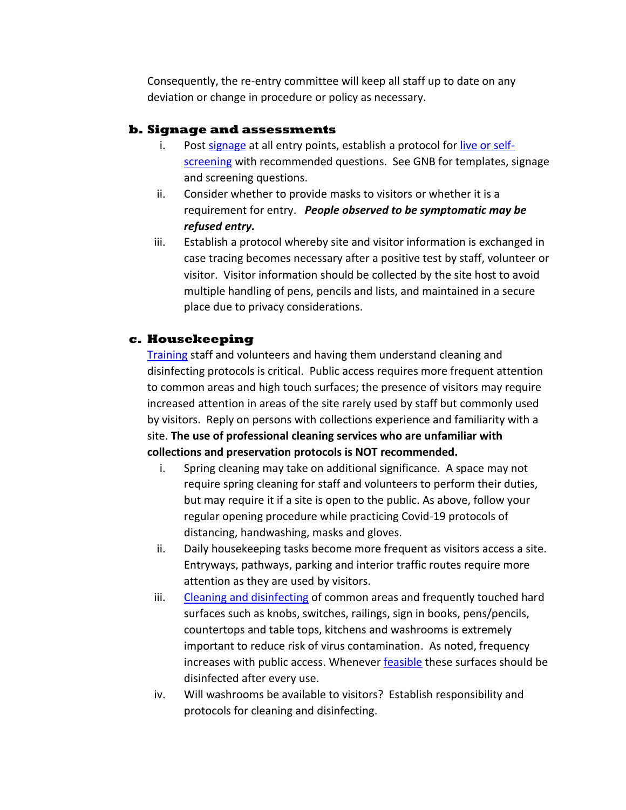Consequently, the re-entry committee will keep all staff up to date on any deviation or change in procedure or policy as necessary.

## **b. Signage and assessments**

- i. Post [signage](https://www2.gnb.ca/content/dam/gnb/Departments/h-s/pdf/en/CDC/PosterCL.pdf) at all entry points, establish a protocol for [live or self](https://www2.gnb.ca/content/dam/gnb/Departments/h-s/pdf/ScreeningEF.pdf)[screening](https://www2.gnb.ca/content/dam/gnb/Departments/h-s/pdf/ScreeningEF.pdf) with recommended questions. See GNB for templates, signage and screening questions.
- ii. Consider whether to provide masks to visitors or whether it is a requirement for entry. *People observed to be symptomatic may be refused entry.*
- iii. Establish a protocol whereby site and visitor information is exchanged in case tracing becomes necessary after a positive test by staff, volunteer or visitor. Visitor information should be collected by the site host to avoid multiple handling of pens, pencils and lists, and maintained in a secure place due to privacy considerations.

## **c. Housekeeping**

[Training](https://www.cac-accr.ca/wp-content/uploads/dlm_uploads/2020/04/cci_covid-19_en_2020-04-17.pdf) staff and volunteers and having them understand cleaning and disinfecting protocols is critical. Public access requires more frequent attention to common areas and high touch surfaces; the presence of visitors may require increased attention in areas of the site rarely used by staff but commonly used by visitors. Reply on persons with collections experience and familiarity with a site. **The use of professional cleaning services who are unfamiliar with collections and preservation protocols is NOT recommended.** 

- i. Spring cleaning may take on additional significance. A space may not require spring cleaning for staff and volunteers to perform their duties, but may require it if a site is open to the public. As above, follow your regular opening procedure while practicing Covid-19 protocols of distancing, handwashing, masks and gloves.
- ii. Daily housekeeping tasks become more frequent as visitors access a site. Entryways, pathways, parking and interior traffic routes require more attention as they are used by visitors.
- iii. [Cleaning and disinfecting](https://www2.gnb.ca/content/dam/gnb/Departments/h-s/pdf/CDCOVIDE.pdf) of common areas and frequently touched hard surfaces such as knobs, switches, railings, sign in books, pens/pencils, countertops and table tops, kitchens and washrooms is extremely important to reduce risk of virus contamination. As noted, frequency increases with public access. Whenever [feasible](https://www.cdc.gov/coronavirus/2019-ncov/community/cleaning-disinfecting-decision-tool.html) these surfaces should be disinfected after every use.
- iv. Will washrooms be available to visitors? Establish responsibility and protocols for cleaning and disinfecting.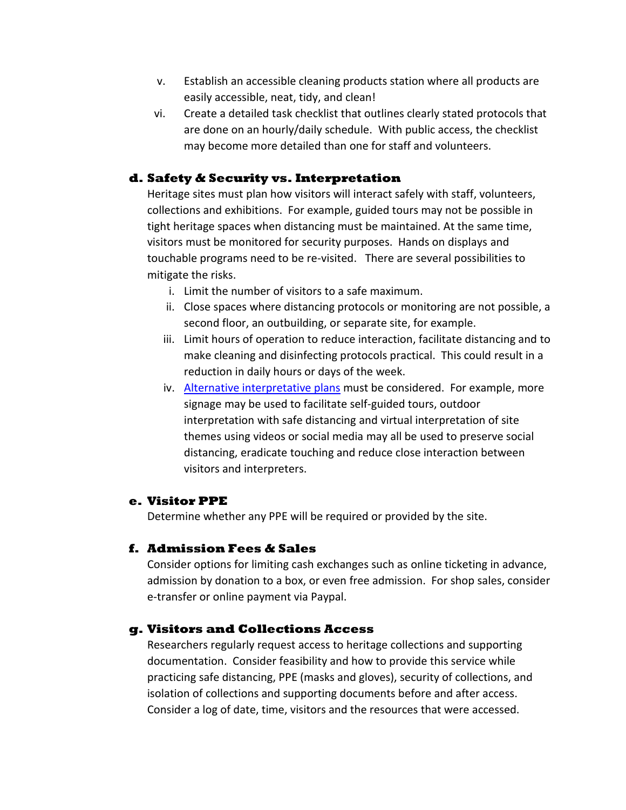- v. Establish an accessible cleaning products station where all products are easily accessible, neat, tidy, and clean!
- vi. Create a detailed task checklist that outlines clearly stated protocols that are done on an hourly/daily schedule. With public access, the checklist may become more detailed than one for staff and volunteers.

## **d. Safety & Security vs. Interpretation**

Heritage sites must plan how visitors will interact safely with staff, volunteers, collections and exhibitions. For example, guided tours may not be possible in tight heritage spaces when distancing must be maintained. At the same time, visitors must be monitored for security purposes. Hands on displays and touchable programs need to be re-visited. There are several possibilities to mitigate the risks.

- i. Limit the number of visitors to a safe maximum.
- ii. Close spaces where distancing protocols or monitoring are not possible, a second floor, an outbuilding, or separate site, for example.
- iii. Limit hours of operation to reduce interaction, facilitate distancing and to make cleaning and disinfecting protocols practical. This could result in a reduction in daily hours or days of the week.
- iv. [Alternative interpretative](https://ansm.ns.ca/Documents/Supporting%20Seasonal%20Staff%20During%20COVID-19.pdf?fbclid=IwAR3a3MYTahJUlCnarQSfq3Ue7G4jEGSfd5nUFWyF7g_8kMcRw29nkob518k) plans must be considered. For example, more signage may be used to facilitate self-guided tours, outdoor interpretation with safe distancing and virtual interpretation of site themes using videos or social media may all be used to preserve social distancing, eradicate touching and reduce close interaction between visitors and interpreters.

## **e. Visitor PPE**

Determine whether any PPE will be required or provided by the site.

## **f. Admission Fees & Sales**

Consider options for limiting cash exchanges such as online ticketing in advance, admission by donation to a box, or even free admission. For shop sales, consider e-transfer or online payment via Paypal.

## **g. Visitors and Collections Access**

Researchers regularly request access to heritage collections and supporting documentation. Consider feasibility and how to provide this service while practicing safe distancing, PPE (masks and gloves), security of collections, and isolation of collections and supporting documents before and after access. Consider a log of date, time, visitors and the resources that were accessed.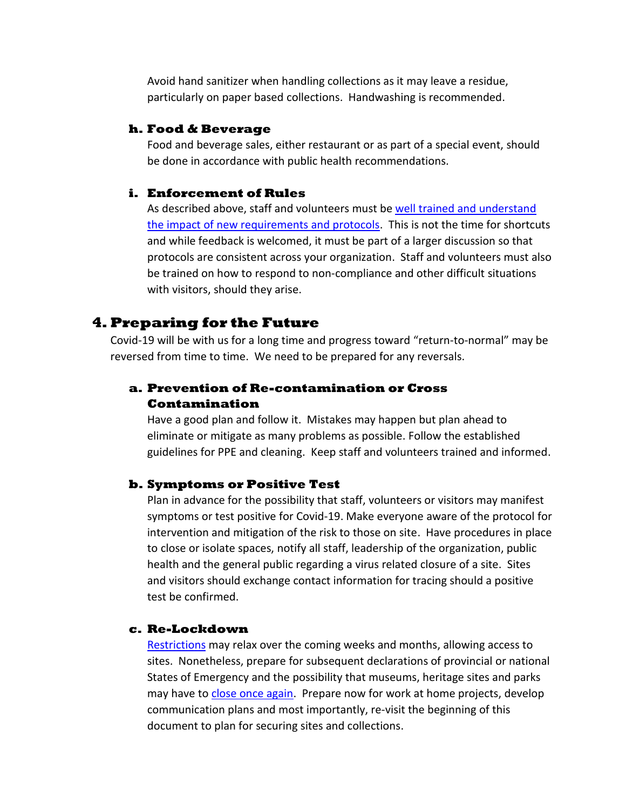Avoid hand sanitizer when handling collections as it may leave a residue, particularly on paper based collections. Handwashing is recommended.

#### **h. Food & Beverage**

Food and beverage sales, either restaurant or as part of a special event, should be done in accordance with public health recommendations.

#### **i. Enforcement of Rules**

As described above, staff and volunteers must b[e well trained and understand](https://www.worksafenb.ca/safety-topics/covid-19/covid-19-what-workers-and-employers-need-to-know/)  [the impact of new requirements and protocols.](https://www.worksafenb.ca/safety-topics/covid-19/covid-19-what-workers-and-employers-need-to-know/) This is not the time for shortcuts and while feedback is welcomed, it must be part of a larger discussion so that protocols are consistent across your organization. Staff and volunteers must also be trained on how to respond to non-compliance and other difficult situations with visitors, should they arise.

## **4. Preparing for the Future**

Covid-19 will be with us for a long time and progress toward "return-to-normal" may be reversed from time to time. We need to be prepared for any reversals.

## **a. Prevention of Re-contamination or Cross Contamination**

Have a good plan and follow it. Mistakes may happen but plan ahead to eliminate or mitigate as many problems as possible. Follow the established guidelines for PPE and cleaning. Keep staff and volunteers trained and informed.

#### **b. Symptoms or Positive Test**

Plan in advance for the possibility that staff, volunteers or visitors may manifest symptoms or test positive for Covid-19. Make everyone aware of the protocol for intervention and mitigation of the risk to those on site. Have procedures in place to close or isolate spaces, notify all staff, leadership of the organization, public health and the general public regarding a virus related closure of a site. Sites and visitors should exchange contact information for tracing should a positive test be confirmed.

#### **c. Re-Lockdown**

[Restrictions](https://www2.gnb.ca/content/gnb/en/corporate/promo/covid-19/recovery.html) may relax over the coming weeks and months, allowing access to sites. Nonetheless, prepare for subsequent declarations of provincial or national States of Emergency and the possibility that museums, heritage sites and parks may have t[o close once again.](https://www.canada.ca/en/conservation-institute/services/conservation-preservation-publications/canadian-conservation-institute-notes/closing-museum-winter.html) Prepare now for work at home projects, develop communication plans and most importantly, re-visit the beginning of this document to plan for securing sites and collections.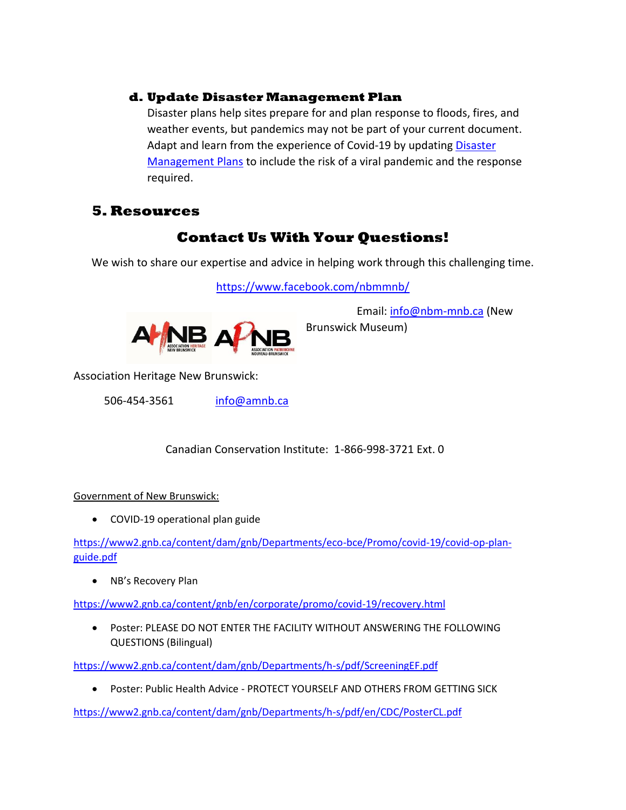## **d. Update Disaster Management Plan**

Disaster plans help sites prepare for and plan response to floods, fires, and weather events, but pandemics may not be part of your current document. Adapt and learn from the experience of Covid-19 by updating **Disaster** [Management Plans](https://www.canada.ca/content/dam/cci-icc/documents/services/conservation-preservation-publications/canadian-conservation-institute-notes/14-1-eng.pdf?WT.contentAuthority=4.4.10) to include the risk of a viral pandemic and the response required.

# **5. Resources**

# **Contact Us With Your Questions!**

We wish to share our expertise and advice in helping work through this challenging time.

<https://www.facebook.com/nbmmnb/>



Email: [info@nbm-mnb.ca](mailto:info@nbm-mnb.ca) (New Brunswick Museum)

Association Heritage New Brunswick:

506-454-3561 [info@amnb.ca](mailto:info@amnb.ca)

Canadian Conservation Institute: 1-866-998-3721 Ext. 0

## Government of New Brunswick:

COVID-19 operational plan guide

[https://www2.gnb.ca/content/dam/gnb/Departments/eco-bce/Promo/covid-19/covid-op-plan](https://www2.gnb.ca/content/dam/gnb/Departments/eco-bce/Promo/covid-19/covid-op-plan-guide.pdf)[guide.pdf](https://www2.gnb.ca/content/dam/gnb/Departments/eco-bce/Promo/covid-19/covid-op-plan-guide.pdf)

• NB's Recovery Plan

<https://www2.gnb.ca/content/gnb/en/corporate/promo/covid-19/recovery.html>

 Poster: PLEASE DO NOT ENTER THE FACILITY WITHOUT ANSWERING THE FOLLOWING QUESTIONS (Bilingual)

<https://www2.gnb.ca/content/dam/gnb/Departments/h-s/pdf/ScreeningEF.pdf>

Poster: Public Health Advice - PROTECT YOURSELF AND OTHERS FROM GETTING SICK

<https://www2.gnb.ca/content/dam/gnb/Departments/h-s/pdf/en/CDC/PosterCL.pdf>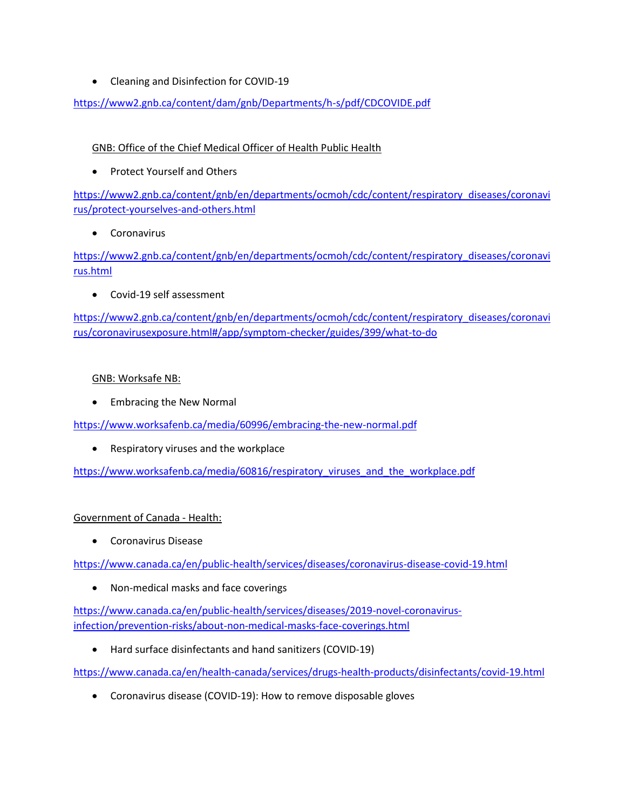• Cleaning and Disinfection for COVID-19

<https://www2.gnb.ca/content/dam/gnb/Departments/h-s/pdf/CDCOVIDE.pdf>

## GNB: Office of the Chief Medical Officer of Health Public Health

• Protect Yourself and Others

[https://www2.gnb.ca/content/gnb/en/departments/ocmoh/cdc/content/respiratory\\_diseases/coronavi](https://www2.gnb.ca/content/gnb/en/departments/ocmoh/cdc/content/respiratory_diseases/coronavirus/protect-yourselves-and-others.html) [rus/protect-yourselves-and-others.html](https://www2.gnb.ca/content/gnb/en/departments/ocmoh/cdc/content/respiratory_diseases/coronavirus/protect-yourselves-and-others.html)

Coronavirus

[https://www2.gnb.ca/content/gnb/en/departments/ocmoh/cdc/content/respiratory\\_diseases/coronavi](https://www2.gnb.ca/content/gnb/en/departments/ocmoh/cdc/content/respiratory_diseases/coronavirus.html) [rus.html](https://www2.gnb.ca/content/gnb/en/departments/ocmoh/cdc/content/respiratory_diseases/coronavirus.html)

Covid-19 self assessment

[https://www2.gnb.ca/content/gnb/en/departments/ocmoh/cdc/content/respiratory\\_diseases/coronavi](https://www2.gnb.ca/content/gnb/en/departments/ocmoh/cdc/content/respiratory_diseases/coronavirus/coronavirusexposure.html#/app/symptom-checker/guides/399/what-to-do) [rus/coronavirusexposure.html#/app/symptom-checker/guides/399/what-to-do](https://www2.gnb.ca/content/gnb/en/departments/ocmoh/cdc/content/respiratory_diseases/coronavirus/coronavirusexposure.html#/app/symptom-checker/guides/399/what-to-do)

## GNB: Worksafe NB:

• Embracing the New Normal

<https://www.worksafenb.ca/media/60996/embracing-the-new-normal.pdf>

Respiratory viruses and the workplace

[https://www.worksafenb.ca/media/60816/respiratory\\_viruses\\_and\\_the\\_workplace.pdf](https://www.worksafenb.ca/media/60816/respiratory_viruses_and_the_workplace.pdf)

## Government of Canada - Health:

Coronavirus Disease

<https://www.canada.ca/en/public-health/services/diseases/coronavirus-disease-covid-19.html>

• Non-medical masks and face coverings

[https://www.canada.ca/en/public-health/services/diseases/2019-novel-coronavirus](https://www.canada.ca/en/public-health/services/diseases/2019-novel-coronavirus-infection/prevention-risks/about-non-medical-masks-face-coverings.html)[infection/prevention-risks/about-non-medical-masks-face-coverings.html](https://www.canada.ca/en/public-health/services/diseases/2019-novel-coronavirus-infection/prevention-risks/about-non-medical-masks-face-coverings.html)

Hard surface disinfectants and hand sanitizers (COVID-19)

<https://www.canada.ca/en/health-canada/services/drugs-health-products/disinfectants/covid-19.html>

Coronavirus disease (COVID-19): How to remove disposable gloves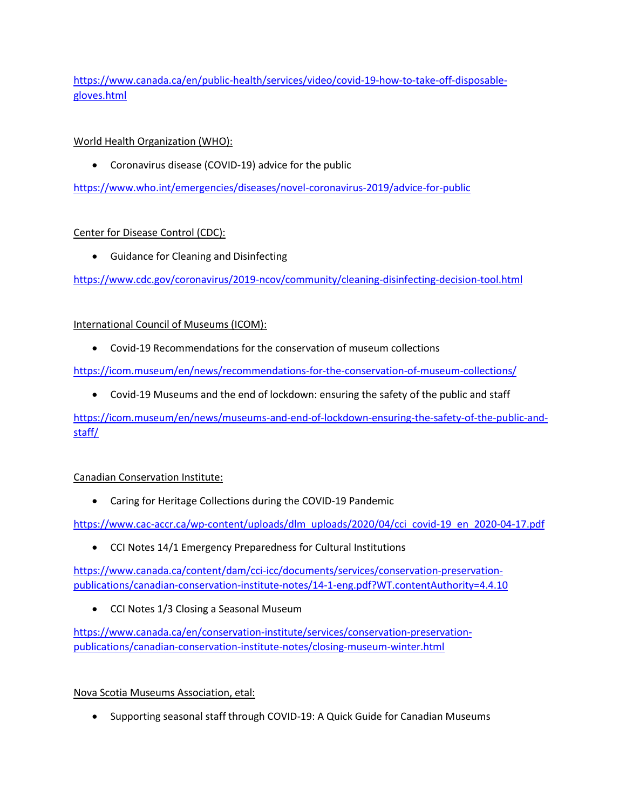[https://www.canada.ca/en/public-health/services/video/covid-19-how-to-take-off-disposable](https://www.canada.ca/en/public-health/services/video/covid-19-how-to-take-off-disposable-gloves.html)[gloves.html](https://www.canada.ca/en/public-health/services/video/covid-19-how-to-take-off-disposable-gloves.html)

## World Health Organization (WHO):

Coronavirus disease (COVID-19) advice for the public

<https://www.who.int/emergencies/diseases/novel-coronavirus-2019/advice-for-public>

## Center for Disease Control (CDC):

Guidance for Cleaning and Disinfecting

<https://www.cdc.gov/coronavirus/2019-ncov/community/cleaning-disinfecting-decision-tool.html>

## International Council of Museums (ICOM):

Covid-19 Recommendations for the conservation of museum collections

<https://icom.museum/en/news/recommendations-for-the-conservation-of-museum-collections/>

Covid-19 Museums and the end of lockdown: ensuring the safety of the public and staff

[https://icom.museum/en/news/museums-and-end-of-lockdown-ensuring-the-safety-of-the-public-and](https://icom.museum/en/news/museums-and-end-of-lockdown-ensuring-the-safety-of-the-public-and-staff/)[staff/](https://icom.museum/en/news/museums-and-end-of-lockdown-ensuring-the-safety-of-the-public-and-staff/)

## Canadian Conservation Institute:

Caring for Heritage Collections during the COVID-19 Pandemic

[https://www.cac-accr.ca/wp-content/uploads/dlm\\_uploads/2020/04/cci\\_covid-19\\_en\\_2020-04-17.pdf](https://www.cac-accr.ca/wp-content/uploads/dlm_uploads/2020/04/cci_covid-19_en_2020-04-17.pdf)

CCI Notes 14/1 Emergency Preparedness for Cultural Institutions

[https://www.canada.ca/content/dam/cci-icc/documents/services/conservation-preservation](https://www.canada.ca/content/dam/cci-icc/documents/services/conservation-preservation-publications/canadian-conservation-institute-notes/14-1-eng.pdf?WT.contentAuthority=4.4.10)[publications/canadian-conservation-institute-notes/14-1-eng.pdf?WT.contentAuthority=4.4.10](https://www.canada.ca/content/dam/cci-icc/documents/services/conservation-preservation-publications/canadian-conservation-institute-notes/14-1-eng.pdf?WT.contentAuthority=4.4.10)

CCI Notes 1/3 Closing a Seasonal Museum

[https://www.canada.ca/en/conservation-institute/services/conservation-preservation](https://www.canada.ca/en/conservation-institute/services/conservation-preservation-publications/canadian-conservation-institute-notes/closing-museum-winter.html)[publications/canadian-conservation-institute-notes/closing-museum-winter.html](https://www.canada.ca/en/conservation-institute/services/conservation-preservation-publications/canadian-conservation-institute-notes/closing-museum-winter.html)

## Nova Scotia Museums Association, etal:

Supporting seasonal staff through COVID-19: A Quick Guide for Canadian Museums